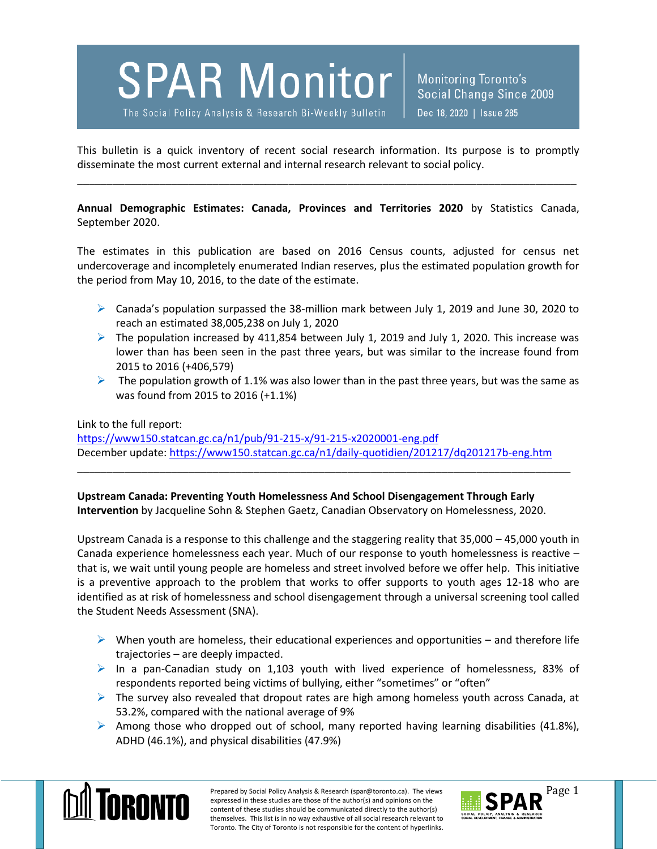# **SPAR Monitor**

The Social Policy Analysis & Research Bi-Weekly Bulletin

Monitoring Toronto's Social Change Since 2009 Dec 18, 2020 | Issue 285

This bulletin is a quick inventory of recent social research information. Its purpose is to promptly disseminate the most current external and internal research relevant to social policy.

\_\_\_\_\_\_\_\_\_\_\_\_\_\_\_\_\_\_\_\_\_\_\_\_\_\_\_\_\_\_\_\_\_\_\_\_\_\_\_\_\_\_\_\_\_\_\_\_\_\_\_\_\_\_\_\_\_\_\_\_\_\_\_\_\_\_\_\_\_\_\_\_\_\_\_\_\_\_\_\_\_\_\_\_\_

**Annual Demographic Estimates: Canada, Provinces and Territories 2020** by Statistics Canada, September 2020.

The estimates in this publication are based on 2016 Census counts, adjusted for census net undercoverage and incompletely enumerated Indian reserves, plus the estimated population growth for the period from May 10, 2016, to the date of the estimate.

- $\triangleright$  Canada's population surpassed the 38-million mark between July 1, 2019 and June 30, 2020 to reach an estimated 38,005,238 on July 1, 2020
- $\triangleright$  The population increased by 411,854 between July 1, 2019 and July 1, 2020. This increase was lower than has been seen in the past three years, but was similar to the increase found from 2015 to 2016 (+406,579)
- $\triangleright$  The population growth of 1.1% was also lower than in the past three years, but was the same as was found from 2015 to 2016 (+1.1%)

#### Link to the full report:

<https://www150.statcan.gc.ca/n1/pub/91-215-x/91-215-x2020001-eng.pdf> December update:<https://www150.statcan.gc.ca/n1/daily-quotidien/201217/dq201217b-eng.htm>

\_\_\_\_\_\_\_\_\_\_\_\_\_\_\_\_\_\_\_\_\_\_\_\_\_\_\_\_\_\_\_\_\_\_\_\_\_\_\_\_\_\_\_\_\_\_\_\_\_\_\_\_\_\_\_\_\_\_\_\_\_\_\_\_\_\_\_\_\_\_\_\_\_\_\_\_\_\_\_\_\_\_\_\_

**Upstream Canada: Preventing Youth Homelessness And School Disengagement Through Early Intervention** by Jacqueline Sohn & Stephen Gaetz, Canadian Observatory on Homelessness, 2020.

Upstream Canada is a response to this challenge and the staggering reality that 35,000 – 45,000 youth in Canada experience homelessness each year. Much of our response to youth homelessness is reactive – that is, we wait until young people are homeless and street involved before we offer help. This initiative is a preventive approach to the problem that works to offer supports to youth ages 12-18 who are identified as at risk of homelessness and school disengagement through a universal screening tool called the Student Needs Assessment (SNA).

- $\triangleright$  When youth are homeless, their educational experiences and opportunities and therefore life trajectories – are deeply impacted.
- In a pan-Canadian study on 1,103 youth with lived experience of homelessness, 83% of respondents reported being victims of bullying, either "sometimes" or "often"
- $\triangleright$  The survey also revealed that dropout rates are high among homeless youth across Canada, at 53.2%, compared with the national average of 9%
- Among those who dropped out of school, many reported having learning disabilities (41.8%), ADHD (46.1%), and physical disabilities (47.9%)



Prepared by Social Policy Analysis & Research (spar@toronto.ca). The views Page 1 expressed in these studies are those of the author(s) and opinions on the content of these studies should be communicated directly to the author(s) themselves. This list is in no way exhaustive of all social research relevant to Toronto. The City of Toronto is not responsible for the content of hyperlinks.

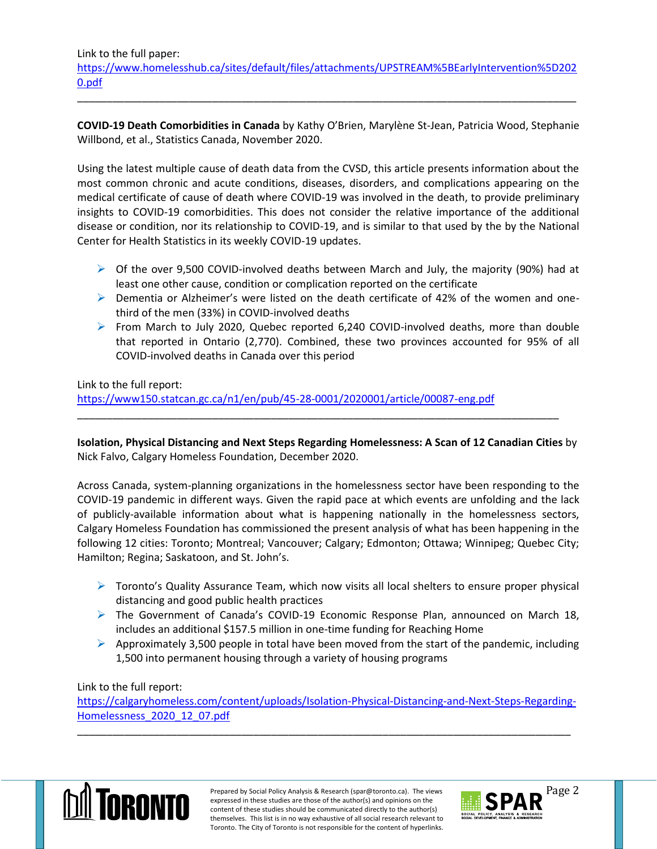Link to the full paper: [https://www.homelesshub.ca/sites/default/files/attachments/UPSTREAM%5BEarlyIntervention%5D202](https://www.homelesshub.ca/sites/default/files/attachments/UPSTREAM%5BEarlyIntervention%5D2020.pdf) [0.pdf](https://www.homelesshub.ca/sites/default/files/attachments/UPSTREAM%5BEarlyIntervention%5D2020.pdf)

\_\_\_\_\_\_\_\_\_\_\_\_\_\_\_\_\_\_\_\_\_\_\_\_\_\_\_\_\_\_\_\_\_\_\_\_\_\_\_\_\_\_\_\_\_\_\_\_\_\_\_\_\_\_\_\_\_\_\_\_\_\_\_\_\_\_\_\_\_\_\_\_\_\_\_\_\_\_\_\_\_\_\_\_\_

**COVID-19 Death Comorbidities in Canada** by Kathy O'Brien, Marylène St-Jean, Patricia Wood, Stephanie Willbond, et al., Statistics Canada, November 2020.

Using the latest multiple cause of death data from the CVSD, this article presents information about the most common chronic and acute conditions, diseases, disorders, and complications appearing on the medical certificate of cause of death where COVID-19 was involved in the death, to provide preliminary insights to COVID-19 comorbidities. This does not consider the relative importance of the additional disease or condition, nor its relationship to COVID-19, and is similar to that used by the by the National Center for Health Statistics in its weekly COVID-19 updates.

- $\triangleright$  Of the over 9,500 COVID-involved deaths between March and July, the majority (90%) had at least one other cause, condition or complication reported on the certificate
- $\triangleright$  Dementia or Alzheimer's were listed on the death certificate of 42% of the women and onethird of the men (33%) in COVID-involved deaths
- From March to July 2020, Quebec reported 6,240 COVID-involved deaths, more than double that reported in Ontario (2,770). Combined, these two provinces accounted for 95% of all COVID-involved deaths in Canada over this period

Link to the full report:

<https://www150.statcan.gc.ca/n1/en/pub/45-28-0001/2020001/article/00087-eng.pdf>

**Isolation, Physical Distancing and Next Steps Regarding Homelessness: A Scan of 12 Canadian Cities** by Nick Falvo, Calgary Homeless Foundation, December 2020.

\_\_\_\_\_\_\_\_\_\_\_\_\_\_\_\_\_\_\_\_\_\_\_\_\_\_\_\_\_\_\_\_\_\_\_\_\_\_\_\_\_\_\_\_\_\_\_\_\_\_\_\_\_\_\_\_\_\_\_\_\_\_\_\_\_\_\_\_\_\_\_\_\_\_\_\_\_\_\_\_\_\_

Across Canada, system-planning organizations in the homelessness sector have been responding to the COVID-19 pandemic in different ways. Given the rapid pace at which events are unfolding and the lack of publicly-available information about what is happening nationally in the homelessness sectors, Calgary Homeless Foundation has commissioned the present analysis of what has been happening in the following 12 cities: Toronto; Montreal; Vancouver; Calgary; Edmonton; Ottawa; Winnipeg; Quebec City; Hamilton; Regina; Saskatoon, and St. John's.

- $\triangleright$  Toronto's Quality Assurance Team, which now visits all local shelters to ensure proper physical distancing and good public health practices
- The Government of Canada's COVID-19 Economic Response Plan, announced on March 18, includes an additional \$157.5 million in one-time funding for Reaching Home
- $\triangleright$  Approximately 3,500 people in total have been moved from the start of the pandemic, including 1,500 into permanent housing through a variety of housing programs

# Link to the full report:

[https://calgaryhomeless.com/content/uploads/Isolation-Physical-Distancing-and-Next-Steps-Regarding-](https://calgaryhomeless.com/content/uploads/Isolation-Physical-Distancing-and-Next-Steps-Regarding-Homelessness_2020_12_07.pdf)[Homelessness\\_2020\\_12\\_07.pdf](https://calgaryhomeless.com/content/uploads/Isolation-Physical-Distancing-and-Next-Steps-Regarding-Homelessness_2020_12_07.pdf)

\_\_\_\_\_\_\_\_\_\_\_\_\_\_\_\_\_\_\_\_\_\_\_\_\_\_\_\_\_\_\_\_\_\_\_\_\_\_\_\_\_\_\_\_\_\_\_\_\_\_\_\_\_\_\_\_\_\_\_\_\_\_\_\_\_\_\_\_\_\_\_\_\_\_\_\_\_\_\_\_\_\_\_\_